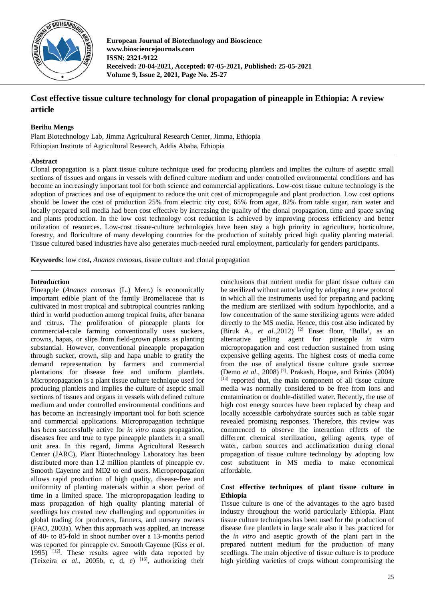

**European Journal of Biotechnology and Bioscience www.biosciencejournals.com ISSN: 2321-9122 Received: 20-04-2021, Accepted: 07-05-2021, Published: 25-05-2021 Volume 9, Issue 2, 2021, Page No. 25-27**

# **Cost effective tissue culture technology for clonal propagation of pineapple in Ethiopia: A review article**

## **Berihu Mengs**

Plant Biotechnology Lab, Jimma Agricultural Research Center, Jimma, Ethiopia Ethiopian Institute of Agricultural Research, Addis Ababa, Ethiopia

## **Abstract**

Clonal propagation is a plant tissue culture technique used for producing plantlets and implies the culture of aseptic small sections of tissues and organs in vessels with defined culture medium and under controlled environmental conditions and has become an increasingly important tool for both science and commercial applications. Low-cost tissue culture technology is the adoption of practices and use of equipment to reduce the unit cost of micropropagule and plant production. Low cost options should be lower the cost of production 25% from electric city cost, 65% from agar, 82% from table sugar, rain water and locally prepared soil media had been cost effective by increasing the quality of the clonal propagation, time and space saving and plants production. In the low cost technology cost reduction is achieved by improving process efficiency and better utilization of resources. Low-cost tissue-culture technologies have been stay a high priority in agriculture, horticulture, forestry, and floriculture of many developing countries for the production of suitably priced high quality planting material. Tissue cultured based industries have also generates much-needed rural employment, particularly for genders participants.

**Keywords:** low cost**,** *Ananas comosus,* tissue culture and clonal propagation

## **Introduction**

Pineapple (*Ananas comosus* (L.) Merr.) is economically important edible plant of the family Bromeliaceae that is cultivated in most tropical and subtropical countries ranking third in world production among tropical fruits, after banana and citrus. The proliferation of pineapple plants for commercial-scale farming conventionally uses suckers, crowns, hapas, or slips from field-grown plants as planting substantial. However, conventional pineapple propagation through sucker, crown, slip and hapa unable to gratify the demand representation by farmers and commercial plantations for disease free and uniform plantlets. Micropropagation is a plant tissue culture technique used for producing plantlets and implies the culture of aseptic small sections of tissues and organs in vessels with defined culture medium and under controlled environmental conditions and has become an increasingly important tool for both science and commercial applications. Micropropagation technique has been successfully active for *in vitro* mass propagation, diseases free and true to type pineapple plantlets in a small unit area. In this regard, Jimma Agricultural Research Center (JARC), Plant Biotechnology Laboratory has been distributed more than 1.2 million plantlets of pineapple cv. Smooth Cayenne and MD2 to end users. Micropropagation allows rapid production of high quality, disease-free and uniformity of planting materials within a short period of time in a limited space. The micropropagation leading to mass propagation of high quality planting material of seedlings has created new challenging and opportunities in global trading for producers, farmers, and nursery owners (FAO, 2003a). When this approach was applied, an increase of 40- to 85-fold in shoot number over a 13-months period was reported for pineapple cv. Smooth Cayenne (Kiss *et al*. 1995) <sup>[12]</sup>. These results agree with data reported by (Teixeira *et al*., 2005b, c, d, e) [16] , authorizing their

conclusions that nutrient media for plant tissue culture can be sterilized without autoclaving by adopting a new protocol in which all the instruments used for preparing and packing the medium are sterilized with sodium hypochlorite, and a low concentration of the same sterilizing agents were added directly to the MS media. Hence, this cost also indicated by (Biruk A., *et al.*, 2012)<sup>[2]</sup> Enset flour, 'Bulla', as an alternative gelling agent for pineapple *in vitro*  micropropagation and cost reduction sustained from using expensive gelling agents. The highest costs of media come from the use of analytical tissue culture grade sucrose (Demo *et al*., 2008) [7] . Prakash, Hoque, and Brinks (2004)  $[13]$  reported that, the main component of all tissue culture media was normally considered to be free from ions and contamination or double-distilled water. Recently, the use of high cost energy sources have been replaced by cheap and locally accessible carbohydrate sources such as table sugar revealed promising responses. Therefore, this review was commenced to observe the interaction effects of the different chemical sterilization, gelling agents, type of water, carbon sources and acclimatization during clonal propagation of tissue culture technology by adopting low cost substituent in MS media to make economical affordable.

## **Cost effective techniques of plant tissue culture in Ethiopia**

Tissue culture is one of the advantages to the agro based industry throughout the world particularly Ethiopia. Plant tissue culture techniques has been used for the production of disease free plantlets in large scale also it has practiced for the *in vitro* and aseptic growth of the plant part in the prepared nutrient medium for the production of many seedlings. The main objective of tissue culture is to produce high yielding varieties of crops without compromising the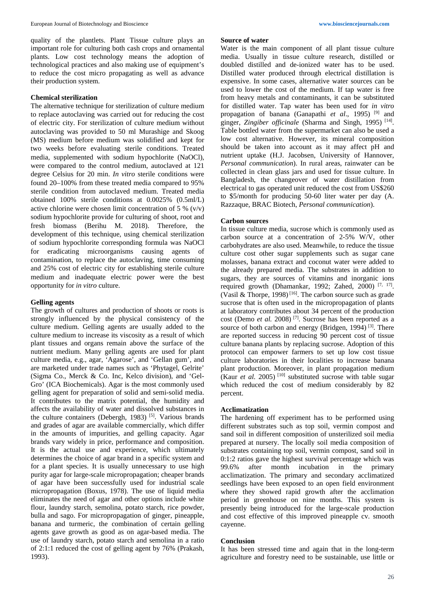quality of the plantlets. Plant Tissue culture plays an important role for culturing both cash crops and ornamental plants. Low cost technology means the adoption of technological practices and also making use of equipment's to reduce the cost micro propagating as well as advance their production system.

#### **Chemical sterilization**

The alternative technique for sterilization of culture medium to replace autoclaving was carried out for reducing the cost of electric city. For sterilization of culture medium without autoclaving was provided to 50 ml Murashige and Skoog (MS) medium before medium was solidified and kept for two weeks before evaluating sterile conditions. Treated media, supplemented with sodium hypochlorite (NaOCl), were compared to the control medium, autoclaved at 121 degree Celsius for 20 min. *In vitro* sterile conditions were found 20–100% from these treated media compared to 95% sterile condition from autoclaved medium. Treated media obtained 100% sterile conditions at 0.0025% (0.5ml/L) active chlorine were chosen limit concentration of 5 %  $(v/v)$ sodium hypochlorite provide for culturing of shoot, root and fresh biomass (Berihu M. 2018). Therefore, the development of this technique, using chemical sterilization of sodium hypochlorite corresponding formula was NaOCl for eradicating microorganisms causing agents of contamination, to replace the autoclaving, time consuming and 25% cost of electric city for establishing sterile culture medium and inadequate electric power were the best opportunity for *in vitro* culture.

#### **Gelling agents**

The growth of cultures and production of shoots or roots is strongly influenced by the physical consistency of the culture medium. Gelling agents are usually added to the culture medium to increase its viscosity as a result of which plant tissues and organs remain above the surface of the nutrient medium. Many gelling agents are used for plant culture media, e.g., agar, 'Agarose', and 'Gellan gum', and are marketed under trade names such as 'Phytagel, Gelrite' (Sigma Co., Merck & Co. Inc, Kelco division), and 'Gel-Gro' (ICA Biochemicals). Agar is the most commonly used gelling agent for preparation of solid and semi-solid media. It contributes to the matrix potential, the humidity and affects the availability of water and dissolved substances in the culture containers (Debergh, 1983)<sup>[5]</sup>. Various brands and grades of agar are available commercially, which differ in the amounts of impurities, and gelling capacity. Agar brands vary widely in price, performance and composition. It is the actual use and experience, which ultimately determines the choice of agar brand in a specific system and for a plant species. It is usually unnecessary to use high purity agar for large-scale micropropagation; cheaper brands of agar have been successfully used for industrial scale micropropagation (Boxus, 1978). The use of liquid media eliminates the need of agar and other options include white flour, laundry starch, semolina, potato starch, rice powder, bulla and sago. For micropropagation of ginger, pineapple, banana and turmeric, the combination of certain gelling agents gave growth as good as on agar-based media. The use of laundry starch, potato starch and semolina in a ratio of 2:1:1 reduced the cost of gelling agent by 76% (Prakash, 1993).

#### **Source of water**

Water is the main component of all plant tissue culture media. Usually in tissue culture research, distilled or doubled distilled and de-ionized water has to be used. Distilled water produced through electrical distillation is expensive. In some cases, alternative water sources can be used to lower the cost of the medium. If tap water is free from heavy metals and contaminants, it can be substituted for distilled water. Tap water has been used for *in vitro* propagation of banana (Ganapathi *et al*., 1995) [9] and ginger, *Zingiber officinale* (Sharma and Singh, 1995)<sup>[14]</sup>. Table bottled water from the supermarket can also be used a low cost alternative. However, its mineral composition should be taken into account as it may affect pH and nutrient uptake (H.J. Jacobsen, University of Hannover, *Personal communication*). In rural areas, rainwater can be collected in clean glass jars and used for tissue culture. In Bangladesh, the changeover of water distillation from electrical to gas operated unit reduced the cost from US\$260 to \$5/month for producing 50-60 liter water per day (A. Razzaque, BRAC Biotech, *Personal communication*).

#### **Carbon sources**

In tissue culture media, sucrose which is commonly used as carbon source at a concentration of 2-5% W/V, other carbohydrates are also used. Meanwhile, to reduce the tissue culture cost other sugar supplements such as sugar cane molasses, banana extract and coconut water were added to the already prepared media. The substrates in addition to sugars, they are sources of vitamins and inorganic ions required growth (Dhamankar, 1992; Zahed, 2000)<sup>[7, 17]</sup>. (Vasil & Thorpe, 1998)<sup>[16]</sup>. The carbon source such as grade sucrose that is often used in the micropropagation of plants at laboratory contributes about 34 percent of the production cost (Demo et al. 2008)<sup>[7]</sup>. Sucrose has been reported as a source of both carbon and energy (Bridgen,  $1994$ )<sup>[3]</sup>. There are reported success in reducing 90 percent cost of tissue culture banana plants by replacing sucrose. Adoption of this protocol can empower farmers to set up low cost tissue culture laboratories in their localities to increase banana plant production. Moreover, in plant propagation medium (Kaur *et al.* 2005)<sup>[10]</sup> substituted sucrose with table sugar which reduced the cost of medium considerably by 82 percent.

#### **Acclimatization**

The hardening off experiment has to be performed using different substrates such as top soil, vermin compost and sand soil in different composition of unsterilized soil media prepared at nursery. The locally soil media composition of substrates containing top soil, vermin compost, sand soil in 0:1:2 ratios gave the highest survival percentage which was 99.6% after month incubation in the primary acclimatization. The primary and secondary acclimatized seedlings have been exposed to an open field environment where they showed rapid growth after the acclimation period in greenhouse on nine months. This system is presently being introduced for the large-scale production and cost effective of this improved pineapple cv. smooth cayenne.

#### **Conclusion**

It has been stressed time and again that in the long-term agriculture and forestry need to be sustainable, use little or